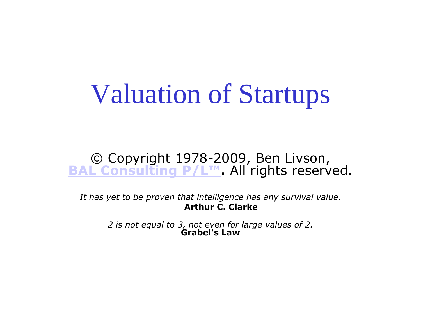# Valuation of Startups

#### © Copyright 1978-2009, Ben Livson, **[BAL Consulting P/L™](http://www.bal.com.au/contact.htm)**. All rights reserved.

*It has yet to be proven that intelligence has any survival value.*  **Arthur C. Clarke**

> *2 is not equal to 3, not even for large values of 2.* **Grabel's Law**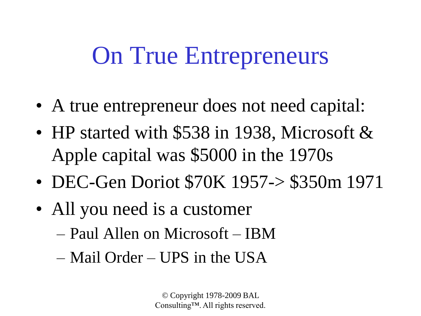## On True Entrepreneurs

- A true entrepreneur does not need capital:
- HP started with \$538 in 1938, Microsoft & Apple capital was \$5000 in the 1970s
- DEC-Gen Doriot \$70K 1957-> \$350m 1971
- All you need is a customer
	- Paul Allen on Microsoft IBM
	- Mail Order UPS in the USA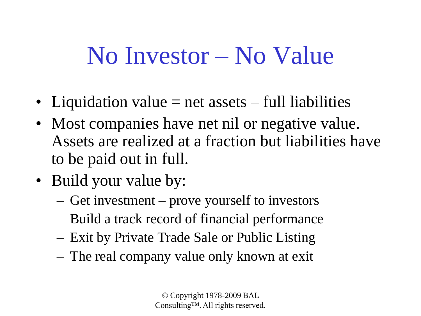#### No Investor – No Value

- Liquidation value  $=$  net assets  $-$  full liabilities
- Most companies have net nil or negative value. Assets are realized at a fraction but liabilities have to be paid out in full.
- Build your value by:
	- Get investment prove yourself to investors
	- Build a track record of financial performance
	- Exit by Private Trade Sale or Public Listing
	- The real company value only known at exit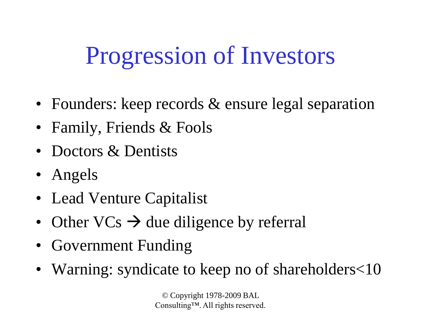## Progression of Investors

- Founders: keep records & ensure legal separation
- Family, Friends & Fools
- Doctors & Dentists
- Angels
- Lead Venture Capitalist
- Other  $VCs \rightarrow due$  diligence by referral
- Government Funding
- Warning: syndicate to keep no of shareholders<10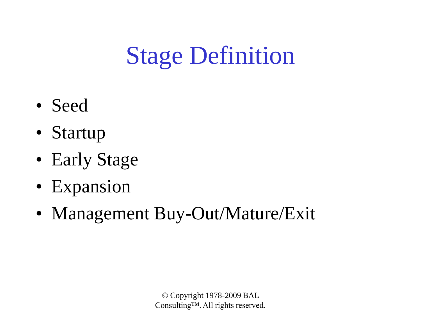# Stage Definition

- Seed
- Startup
- Early Stage
- Expansion
- Management Buy-Out/Mature/Exit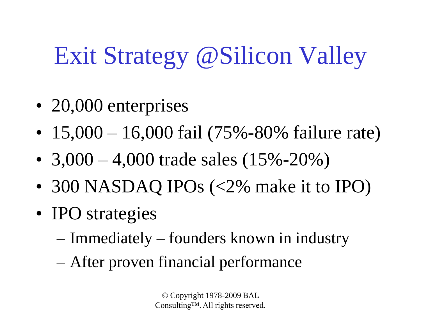# Exit Strategy @Silicon Valley

- 20,000 enterprises
- 15,000 16,000 fail (75%-80% failure rate)
- 3,000 4,000 trade sales  $(15\% 20\%)$
- 300 NASDAQ IPOs (<2% make it to IPO)
- IPO strategies
	- Immediately founders known in industry
	- After proven financial performance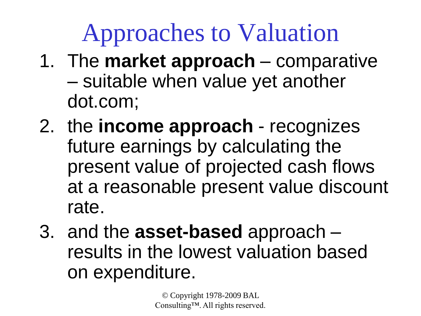# Approaches to Valuation

- 1. The **market approach** comparative – suitable when value yet another dot.com;
- 2. the **income approach** recognizes future earnings by calculating the present value of projected cash flows at a reasonable present value discount rate.
- 3. and the **asset-based** approach results in the lowest valuation based on expenditure.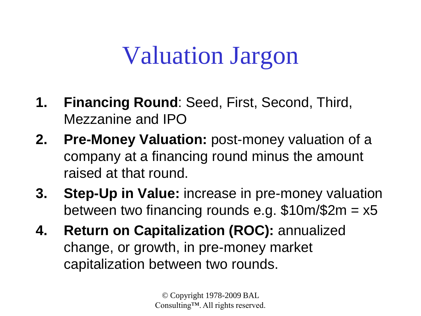## Valuation Jargon

- **1. Financing Round**: Seed, First, Second, Third, Mezzanine and IPO
- **2. Pre-Money Valuation:** post-money valuation of a company at a financing round minus the amount raised at that round.
- **3. Step-Up in Value:** increase in pre-money valuation between two financing rounds e.g.  $$10m/$2m = x5$
- **4. Return on Capitalization (ROC):** annualized change, or growth, in pre-money market capitalization between two rounds.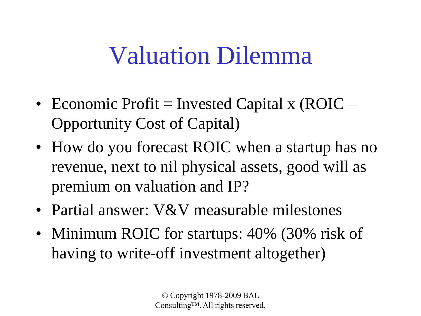## Valuation Dilemma

- Economic Profit = Invested Capital x (ROIC  $-$ Opportunity Cost of Capital)
- How do you forecast ROIC when a startup has no revenue, next to nil physical assets, good will as premium on valuation and IP?
- Partial answer: V&V measurable milestones
- Minimum ROIC for startups: 40% (30% risk of having to write-off investment altogether)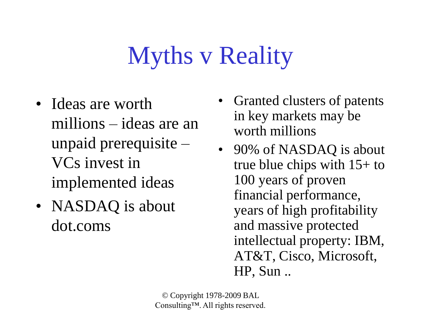# Myths v Reality

- Ideas are worth millions – ideas are an unpaid prerequisite – VCs invest in implemented ideas
- NASDAQ is about dot.coms
- Granted clusters of patents in key markets may be worth millions
- 90% of NASDAQ is about true blue chips with 15+ to 100 years of proven financial performance, years of high profitability and massive protected intellectual property: IBM, AT&T, Cisco, Microsoft, HP, Sun ..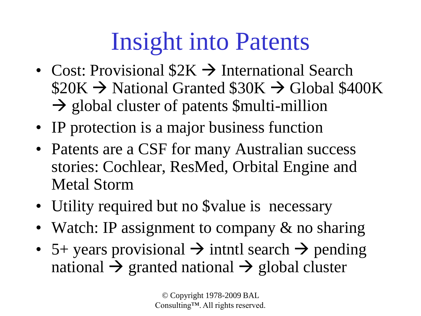# Insight into Patents

- Cost: Provisional  $$2K \rightarrow$  International Search  $$20K \rightarrow$  National Granted  $$30K \rightarrow$  Global \$400K  $\rightarrow$  global cluster of patents \$multi-million
- IP protection is a major business function
- Patents are a CSF for many Australian success stories: Cochlear, ResMed, Orbital Engine and Metal Storm
- Utility required but no Svalue is necessary
- Watch: IP assignment to company & no sharing
- 5+ years provisional  $\rightarrow$  intntl search  $\rightarrow$  pending national  $\rightarrow$  granted national  $\rightarrow$  global cluster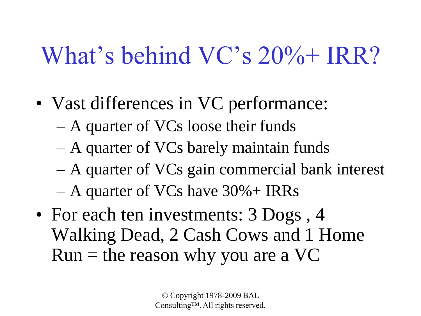# What's behind VC's 20%+ IRR?

- Vast differences in VC performance:
	- A quarter of VCs loose their funds
	- A quarter of VCs barely maintain funds
	- A quarter of VCs gain commercial bank interest
	- A quarter of VCs have 30%+ IRRs
- For each ten investments: 3 Dogs, 4 Walking Dead, 2 Cash Cows and 1 Home  $Run =$  the reason why you are a VC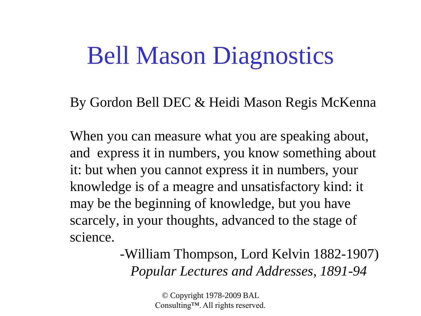#### Bell Mason Diagnostics

By Gordon Bell DEC & Heidi Mason Regis McKenna

When you can measure what you are speaking about, and express it in numbers, you know something about it: but when you cannot express it in numbers, your knowledge is of a meagre and unsatisfactory kind: it may be the beginning of knowledge, but you have scarcely, in your thoughts, advanced to the stage of science.

> -William Thompson, Lord Kelvin 1882-1907) *Popular Lectures and Addresses, 1891-94*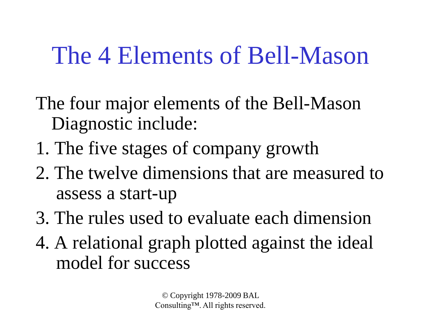### The 4 Elements of Bell-Mason

- The four major elements of the Bell-Mason Diagnostic include:
- 1. The five stages of company growth
- 2. The twelve dimensions that are measured to assess a start-up
- 3. The rules used to evaluate each dimension
- 4. A relational graph plotted against the ideal model for success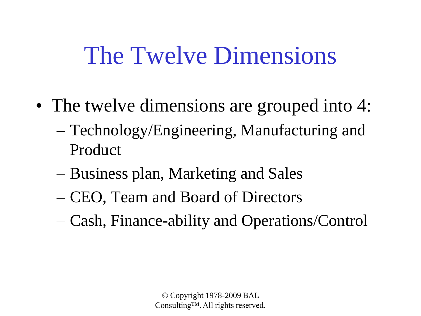## The Twelve Dimensions

- The twelve dimensions are grouped into 4:
	- Technology/Engineering, Manufacturing and Product
	- Business plan, Marketing and Sales
	- CEO, Team and Board of Directors
	- Cash, Finance-ability and Operations/Control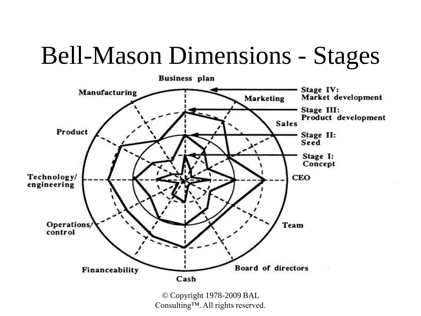## Bell-Mason Dimensions - Stages



Consulting™. All rights reserved.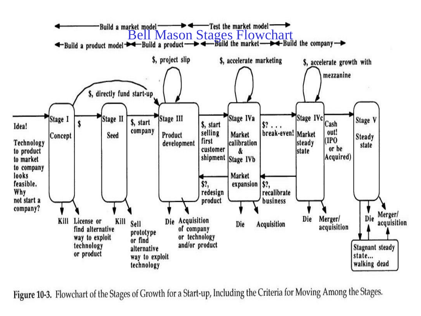

Figure 10-3. Flowchart of the Stages of Growth for a Start-up, Including the Criteria for Moving Among the Stages.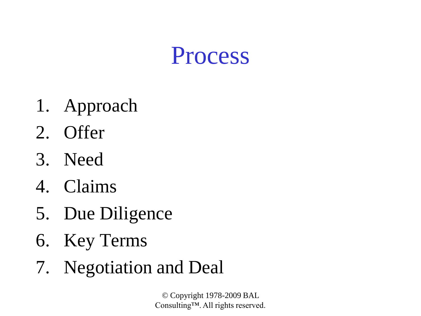#### Process

- 1. Approach
- 2. Offer
- 3. Need
- 4. Claims
- 5. Due Diligence
- 6. Key Terms
- 7. Negotiation and Deal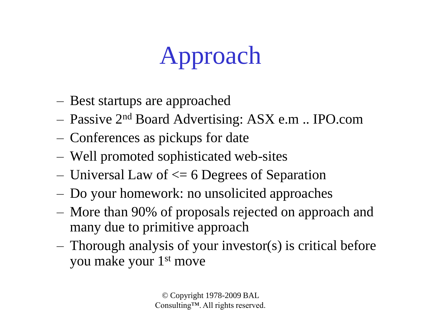# Approach

- Best startups are approached
- Passive 2nd Board Advertising: ASX e.m .. IPO.com
- Conferences as pickups for date
- Well promoted sophisticated web-sites
- Universal Law of  $\leq 6$  Degrees of Separation
- Do your homework: no unsolicited approaches
- More than 90% of proposals rejected on approach and many due to primitive approach
- Thorough analysis of your investor(s) is critical before you make your 1st move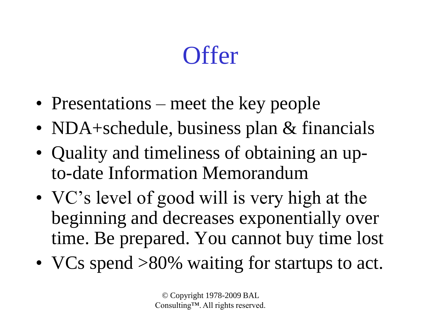## **Offer**

- Presentations meet the key people
- NDA+schedule, business plan & financials
- Quality and timeliness of obtaining an upto-date Information Memorandum
- VC's level of good will is very high at the beginning and decreases exponentially over time. Be prepared. You cannot buy time lost
- VCs spend >80% waiting for startups to act.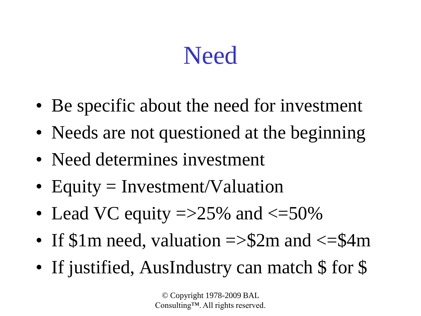### **Need**

- Be specific about the need for investment
- Needs are not questioned at the beginning
- Need determines investment
- Equity = Investment/Valuation
- Lead VC equity  $\approx$  15% and  $\lt$ =50%
- If  $\$\mbox{1m}$  need, valuation => $\$2m$  and <= $\$4m$
- If justified, AusIndustry can match \$ for \$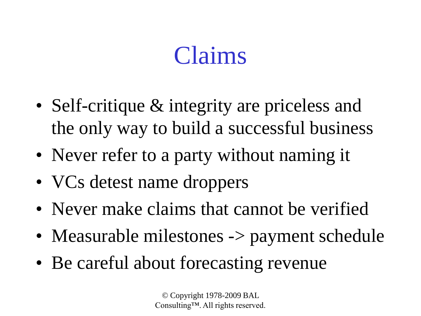## Claims

- Self-critique & integrity are priceless and the only way to build a successful business
- Never refer to a party without naming it
- VCs detest name droppers
- Never make claims that cannot be verified
- Measurable milestones -> payment schedule
- Be careful about forecasting revenue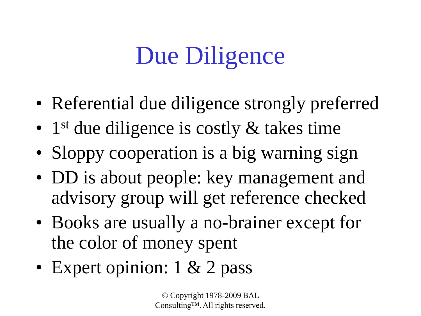# Due Diligence

- Referential due diligence strongly preferred
- 1<sup>st</sup> due diligence is costly & takes time
- Sloppy cooperation is a big warning sign
- DD is about people: key management and advisory group will get reference checked
- Books are usually a no-brainer except for the color of money spent
- Expert opinion: 1 & 2 pass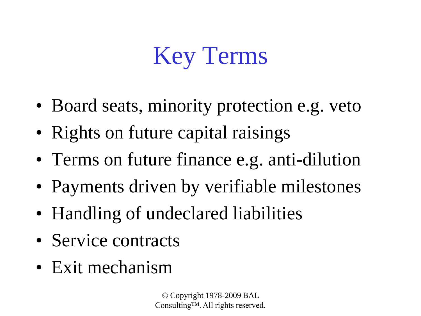# Key Terms

- Board seats, minority protection e.g. veto
- Rights on future capital raisings
- Terms on future finance e.g. anti-dilution
- Payments driven by verifiable milestones
- Handling of undeclared liabilities
- Service contracts
- Exit mechanism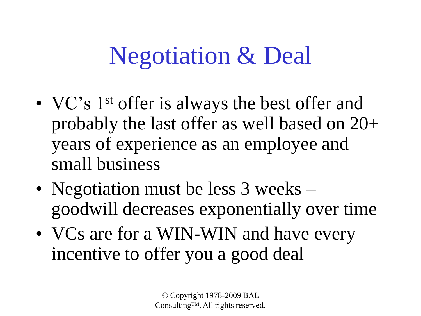## Negotiation & Deal

- VC's 1<sup>st</sup> offer is always the best offer and probably the last offer as well based on 20+ years of experience as an employee and small business
- Negotiation must be less 3 weeks goodwill decreases exponentially over time
- VCs are for a WIN-WIN and have every incentive to offer you a good deal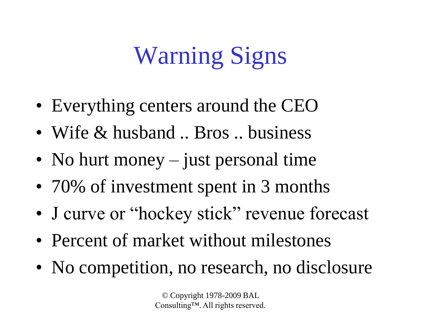# Warning Signs

- Everything centers around the CEO
- Wife & husband .. Bros .. business
- No hurt money just personal time
- 70% of investment spent in 3 months
- J curve or "hockey stick" revenue forecast
- Percent of market without milestones
- No competition, no research, no disclosure